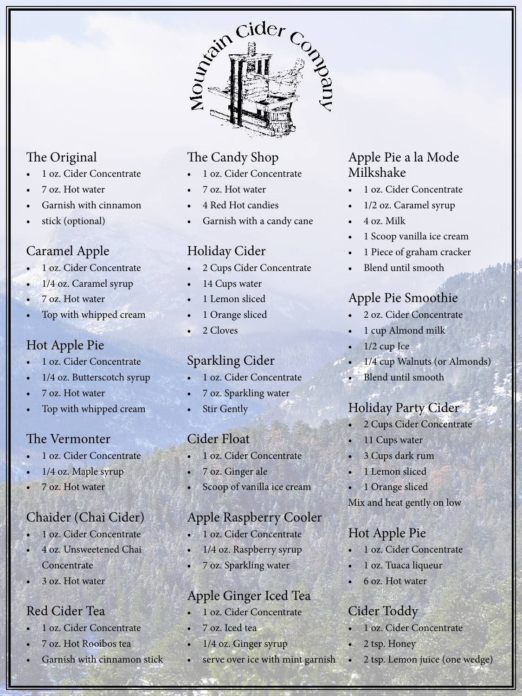

# The Original

- 1 oz. Cider Concentrate
- 7 oz. Hot water
- Garnish with cinnamon
- stick (optional)

# Caramel Apple

- 1 oz. Cider Concentrate
- 1/4 oz. Caramel syrup
- 7 oz. Hot water
- Top with whipped cream

#### Hot Apple Pie

- 1 oz. Cider Concentrate
- 1/4 oz. Butterscotch syrup
- 7 oz. Hot water
- Top with whipped cream

#### The Vermonter

- 1 oz. Cider Concentrate
- 1/4 oz. Maple syrup
- 7 oz. Hot water

### Chaider (Chai Cider)

- 1 oz. Cider Concentrate
- 4 oz. Unsweetened Chai **Concentrate**
- 3 oz. Hot water

### Red Cider Tea

- 1 oz. Cider Concentrate
- 7 oz. Hot Rooibos tea
- Garnish with cinnamon stick

# The Candy Shop

- 1 oz. Cider Concentrate
- 7 oz. Hot water
- 4 Red Hot candies
- Garnish with a candy cane

# Holiday Cider

- 2 Cups Cider Concentrate
- 14 Cups water
- 1 Lemon sliced
- 1 Orange sliced
- 2 Cloves

## Sparkling Cider

- 1 oz. Cider Concentrate
- 7 oz. Sparkling water
- **Stir Gently**

### Cider Float

- 1 oz. Cider Concentrate
- 7 oz. Ginger ale
- Scoop of vanilla ice cream

### Apple Raspberry Cooler

- 1 oz. Cider Concentrate
- 1/4 oz. Raspberry syrup
- 7 oz. Sparkling water

## Apple Ginger Iced Tea

- 1 oz. Cider Concentrate
- 7 oz. Iced tea
- 1/4 oz. Ginger syrup
- serve over ice with mint garnish

#### Apple Pie a la Mode Milkshake

- 1 oz. Cider Concentrate
- 1/2 oz. Caramel syrup
- 4 oz. Milk
- 1 Scoop vanilla ice cream
- 1 Piece of graham cracker
- Blend until smooth

## Apple Pie Smoothie

- 2 oz. Cider Concentrate
- 1 cup Almond milk
- $1/2$  cup Ice
- 1/4 cup Walnuts (or Almonds)
- Blend until smooth

## Holiday Party Cider

- 2 Cups Cider Concentrate
- 11 Cups water
- 3 Cups dark rum
- 1 Lemon sliced
- 1 Orange sliced

Mix and heat gently on low

### Hot Apple Pie

- 1 oz. Cider Concentrate
- 1 oz. Tuaca liqueur
- 6 oz. Hot water

### Cider Toddy

- 1 oz. Cider Concentrate
- 2 tsp. Honey
- 2 tsp. Lemon juice (one wedge)